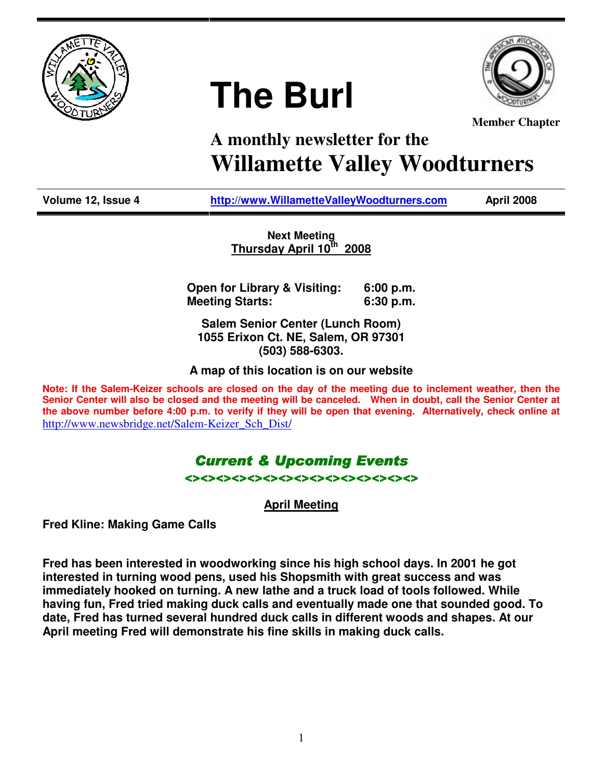

# **The Burl**



**Member Chapter**

# **A monthly newsletter for the Willamette Valley Woodturners**

**Volume 12, Issue 4 http://www.WillametteValleyWoodturners.com April 2008** 

**Next Meeting Thursday April 10th 2008**

**Open for Library & Visiting: 6:00 p.m. Meeting Starts: 6:30 p.m.** 

**Salem Senior Center (Lunch Room) 1055 Erixon Ct. NE, Salem, OR 97301 (503) 588-6303.** 

**A map of this location is on our website** 

**Note: If the Salem-Keizer schools are closed on the day of the meeting due to inclement weather, then the Senior Center will also be closed and the meeting will be canceled. When in doubt, call the Senior Center at the above number before 4:00 p.m. to verify if they will be open that evening. Alternatively, check online at**  http://www.newsbridge.net/Salem-Keizer\_Sch\_Dist/

## **Current & Upcoming Events** <><><><><><><><><><><><><><><>

**April Meeting**

**Fred Kline: Making Game Calls** 

**Fred has been interested in woodworking since his high school days. In 2001 he got interested in turning wood pens, used his Shopsmith with great success and was immediately hooked on turning. A new lathe and a truck load of tools followed. While having fun, Fred tried making duck calls and eventually made one that sounded good. To date, Fred has turned several hundred duck calls in different woods and shapes. At our April meeting Fred will demonstrate his fine skills in making duck calls.**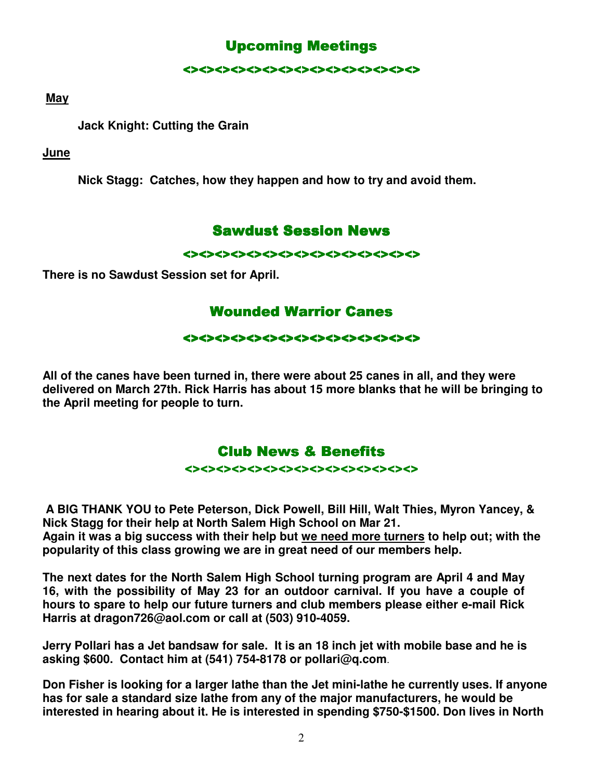# **Upcoming Meetings**

<><><><><><><><><><><><><><><>

#### **May**

 **Jack Knight: Cutting the Grain** 

#### **June**

**Nick Stagg: Catches, how they happen and how to try and avoid them.** 

## **Sawdust Session News**

<><><><><><><><><><><><><><><>

**There is no Sawdust Session set for April.** 

# **Wounded Warrior Canes**

#### <><><><><><><><><><><><><><><> <><><><><><><><><><><><><><><>

**All of the canes have been turned in, there were about 25 canes in all, and they were delivered on March 27th. Rick Harris has about 15 more blanks that he will be bringing to the April meeting for people to turn.** 

# Club News & Benefits

<><><><><><><><><><><><><><><>

 **A BIG THANK YOU to Pete Peterson, Dick Powell, Bill Hill, Walt Thies, Myron Yancey, & Nick Stagg for their help at North Salem High School on Mar 21.** 

**Again it was a big success with their help but we need more turners to help out; with the popularity of this class growing we are in great need of our members help.** 

**The next dates for the North Salem High School turning program are April 4 and May 16, with the possibility of May 23 for an outdoor carnival. If you have a couple of hours to spare to help our future turners and club members please either e-mail Rick Harris at dragon726@aol.com or call at (503) 910-4059.** 

**Jerry Pollari has a Jet bandsaw for sale. It is an 18 inch jet with mobile base and he is asking \$600. Contact him at (541) 754-8178 or pollari@q.com**.

**Don Fisher is looking for a larger lathe than the Jet mini-lathe he currently uses. If anyone has for sale a standard size lathe from any of the major manufacturers, he would be interested in hearing about it. He is interested in spending \$750-\$1500. Don lives in North**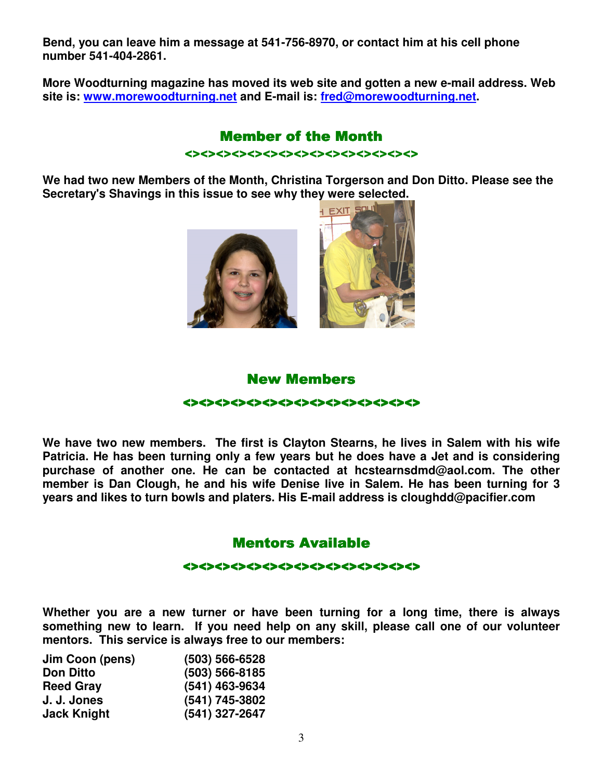**Bend, you can leave him a message at 541-756-8970, or contact him at his cell phone number 541-404-2861.** 

**More Woodturning magazine has moved its web site and gotten a new e-mail address. Web site is: www.morewoodturning.net and E-mail is: fred@morewoodturning.net.** 

# **Member of the Month**

<><><><><><><><><><><><><><><>

**We had two new Members of the Month, Christina Torgerson and Don Ditto. Please see the Secretary's Shavings in this issue to see why they were selected.** 





#### New Members

#### <><><><><><><><><><><><><><><> <><><><><><><><><><><><><><><> ><><><><><><><><><><><><>

**We have two new members. The first is Clayton Stearns, he lives in Salem with his wife Patricia. He has been turning only a few years but he does have a Jet and is considering purchase of another one. He can be contacted at hcstearnsdmd@aol.com. The other member is Dan Clough, he and his wife Denise live in Salem. He has been turning for 3 years and likes to turn bowls and platers. His E-mail address is cloughdd@pacifier.com** 

# Mentors Available

#### <><><><><><><><><><><><><><><> <><><><><><><><><><><><><><><>

**Whether you are a new turner or have been turning for a long time, there is always something new to learn. If you need help on any skill, please call one of our volunteer mentors. This service is always free to our members:** 

| Jim Coon (pens)    | $(503) 566 - 6528$ |
|--------------------|--------------------|
| <b>Don Ditto</b>   | $(503) 566 - 8185$ |
| <b>Reed Gray</b>   | (541) 463-9634     |
| J. J. Jones        | (541) 745-3802     |
| <b>Jack Knight</b> | (541) 327-2647     |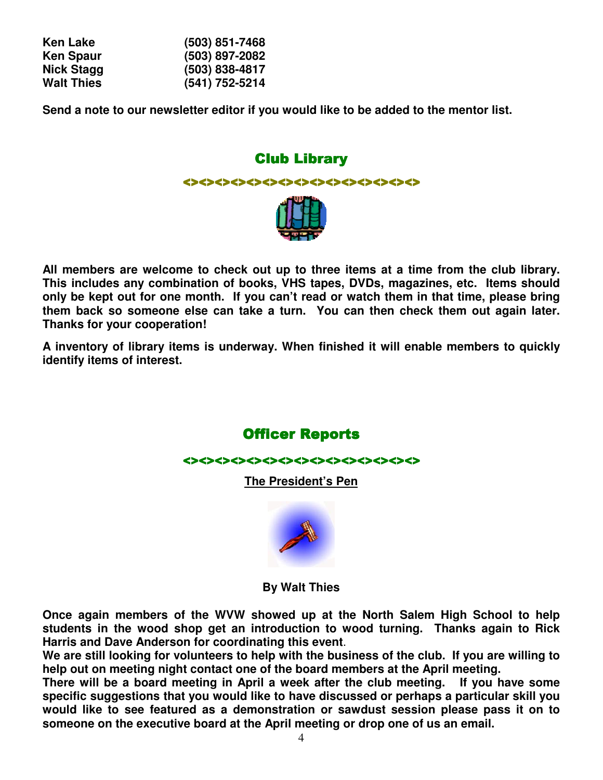| Ken Lake          | $(503)$ 851-7468 |
|-------------------|------------------|
| <b>Ken Spaur</b>  | $(503)$ 897-2082 |
| <b>Nick Stagg</b> | $(503)$ 838-4817 |
| <b>Walt Thies</b> | (541) 752-5214   |

**Send a note to our newsletter editor if you would like to be added to the mentor list.** 

# **Club Library**



**All members are welcome to check out up to three items at a time from the club library. This includes any combination of books, VHS tapes, DVDs, magazines, etc. Items should only be kept out for one month. If you can't read or watch them in that time, please bring them back so someone else can take a turn. You can then check them out again later. Thanks for your cooperation!** 

**A inventory of library items is underway. When finished it will enable members to quickly identify items of interest.** 

**Officer Reports** 

<><><><><><><><><><><><><<<<<<<<<<<<<

**The President's Pen**



**By Walt Thies** 

**Once again members of the WVW showed up at the North Salem High School to help students in the wood shop get an introduction to wood turning. Thanks again to Rick Harris and Dave Anderson for coordinating this event**.

**We are still looking for volunteers to help with the business of the club. If you are willing to help out on meeting night contact one of the board members at the April meeting.** 

**There will be a board meeting in April a week after the club meeting. If you have some specific suggestions that you would like to have discussed or perhaps a particular skill you would like to see featured as a demonstration or sawdust session please pass it on to someone on the executive board at the April meeting or drop one of us an email.**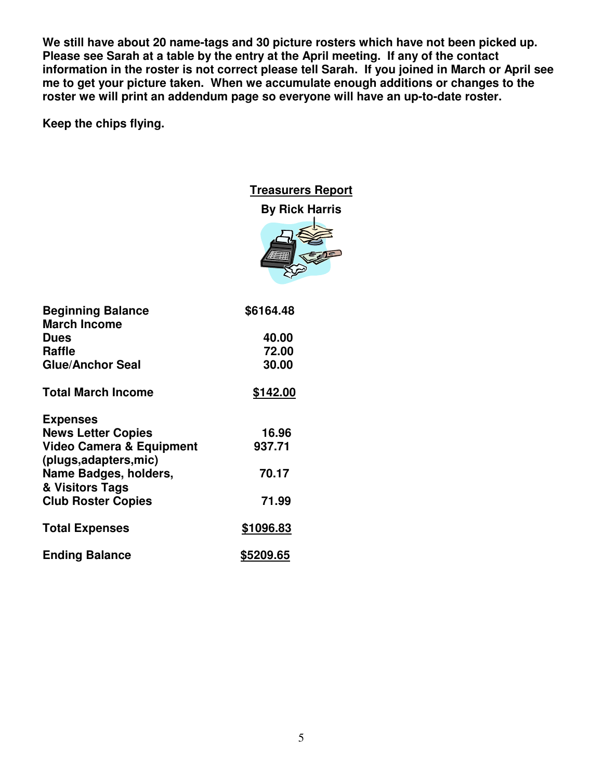**We still have about 20 name-tags and 30 picture rosters which have not been picked up. Please see Sarah at a table by the entry at the April meeting. If any of the contact information in the roster is not correct please tell Sarah. If you joined in March or April see me to get your picture taken. When we accumulate enough additions or changes to the roster we will print an addendum page so everyone will have an up-to-date roster.** 

**Keep the chips flying.** 

#### **Treasurers Report**



| <b>Beginning Balance</b><br><b>March Income</b> | \$6164.48 |
|-------------------------------------------------|-----------|
| <b>Dues</b>                                     | 40.00     |
| <b>Raffle</b>                                   | 72.00     |
| <b>Glue/Anchor Seal</b>                         | 30.00     |
| <b>Total March Income</b>                       | \$142.00  |
| <b>Expenses</b>                                 |           |
| <b>News Letter Copies</b>                       | 16.96     |
| <b>Video Camera &amp; Equipment</b>             | 937.71    |
| (plugs, adapters, mic)                          |           |
| Name Badges, holders,                           | 70.17     |
| & Visitors Tags                                 |           |
| <b>Club Roster Copies</b>                       | 71.99     |
| <b>Total Expenses</b>                           | \$1096.83 |
| <b>Ending Balance</b>                           | \$5209.65 |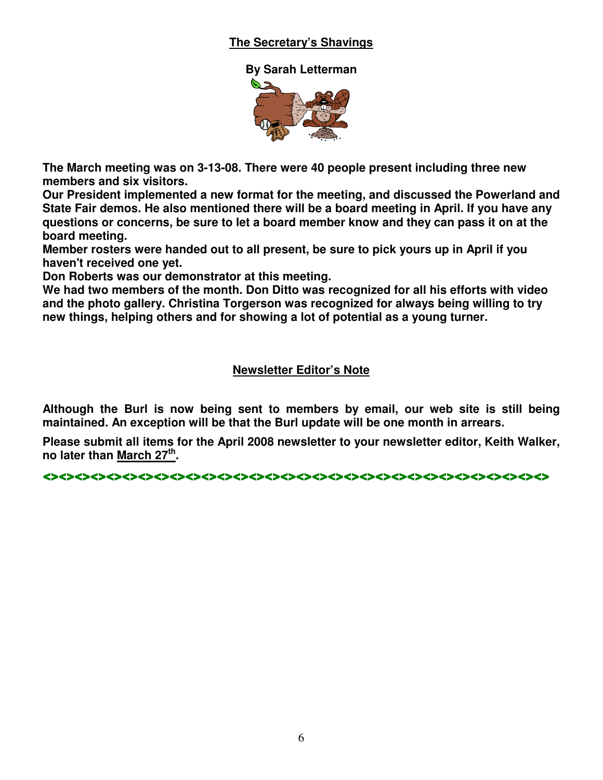#### **The Secretary's Shavings**



**The March meeting was on 3-13-08. There were 40 people present including three new members and six visitors.** 

**Our President implemented a new format for the meeting, and discussed the Powerland and State Fair demos. He also mentioned there will be a board meeting in April. If you have any questions or concerns, be sure to let a board member know and they can pass it on at the board meeting.** 

**Member rosters were handed out to all present, be sure to pick yours up in April if you haven't received one yet.** 

**Don Roberts was our demonstrator at this meeting.** 

**We had two members of the month. Don Ditto was recognized for all his efforts with video and the photo gallery. Christina Torgerson was recognized for always being willing to try new things, helping others and for showing a lot of potential as a young turner.**

#### **Newsletter Editor's Note**

**Although the Burl is now being sent to members by email, our web site is still being maintained. An exception will be that the Burl update will be one month in arrears.** 

**Please submit all items for the April 2008 newsletter to your newsletter editor, Keith Walker, no later than March 27th .** 

<><><><><><><><><><><><><><><><><><><><><><><><><>< <><><><><><><><><><><><><><><><><><><><><><><><><><><><><><><><> ><><><><><><>